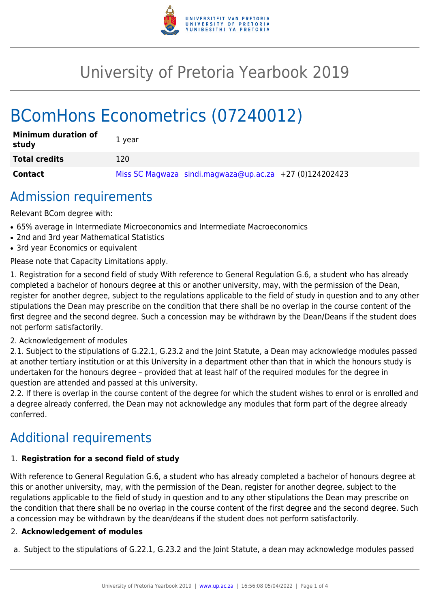

## University of Pretoria Yearbook 2019

# BComHons Econometrics (07240012)

| <b>Minimum duration of</b><br>study | 1 year                                                    |
|-------------------------------------|-----------------------------------------------------------|
| <b>Total credits</b>                | 120                                                       |
| <b>Contact</b>                      | Miss SC Magwaza sindi.magwaza@up.ac.za $+27$ (0)124202423 |

### Admission requirements

Relevant BCom degree with:

- 65% average in Intermediate Microeconomics and Intermediate Macroeconomics
- 2nd and 3rd year Mathematical Statistics
- 3rd year Economics or equivalent

Please note that Capacity Limitations apply.

1. Registration for a second field of study With reference to General Regulation G.6, a student who has already completed a bachelor of honours degree at this or another university, may, with the permission of the Dean, register for another degree, subject to the regulations applicable to the field of study in question and to any other stipulations the Dean may prescribe on the condition that there shall be no overlap in the course content of the first degree and the second degree. Such a concession may be withdrawn by the Dean/Deans if the student does not perform satisfactorily.

#### 2. Acknowledgement of modules

2.1. Subject to the stipulations of G.22.1, G.23.2 and the Joint Statute, a Dean may acknowledge modules passed at another tertiary institution or at this University in a department other than that in which the honours study is undertaken for the honours degree – provided that at least half of the required modules for the degree in question are attended and passed at this university.

2.2. If there is overlap in the course content of the degree for which the student wishes to enrol or is enrolled and a degree already conferred, the Dean may not acknowledge any modules that form part of the degree already conferred.

### Additional requirements

#### 1. **Registration for a second field of study**

With reference to General Regulation G.6, a student who has already completed a bachelor of honours degree at this or another university, may, with the permission of the Dean, register for another degree, subject to the regulations applicable to the field of study in question and to any other stipulations the Dean may prescribe on the condition that there shall be no overlap in the course content of the first degree and the second degree. Such a concession may be withdrawn by the dean/deans if the student does not perform satisfactorily.

#### 2. **Acknowledgement of modules**

a. Subject to the stipulations of G.22.1, G.23.2 and the Joint Statute, a dean may acknowledge modules passed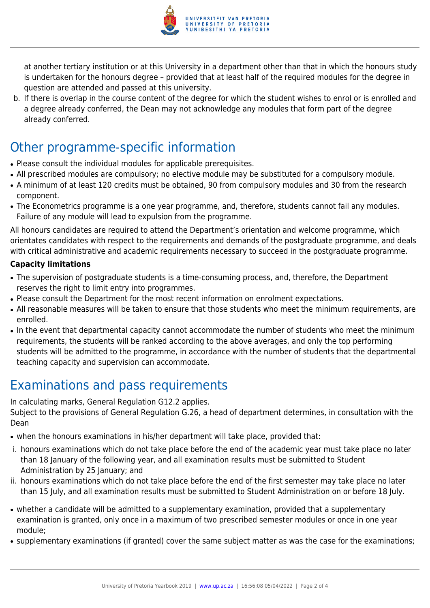

at another tertiary institution or at this University in a department other than that in which the honours study is undertaken for the honours degree – provided that at least half of the required modules for the degree in question are attended and passed at this university.

b. If there is overlap in the course content of the degree for which the student wishes to enrol or is enrolled and a degree already conferred, the Dean may not acknowledge any modules that form part of the degree already conferred.

### Other programme-specific information

- Please consult the individual modules for applicable prerequisites.
- All prescribed modules are compulsory; no elective module may be substituted for a compulsory module.
- A minimum of at least 120 credits must be obtained, 90 from compulsory modules and 30 from the research component.
- The Econometrics programme is a one year programme, and, therefore, students cannot fail any modules. Failure of any module will lead to expulsion from the programme.

All honours candidates are required to attend the Department's orientation and welcome programme, which orientates candidates with respect to the requirements and demands of the postgraduate programme, and deals with critical administrative and academic requirements necessary to succeed in the postgraduate programme.

#### **Capacity limitations**

- The supervision of postgraduate students is a time-consuming process, and, therefore, the Department reserves the right to limit entry into programmes.
- Please consult the Department for the most recent information on enrolment expectations.
- All reasonable measures will be taken to ensure that those students who meet the minimum requirements, are enrolled.
- In the event that departmental capacity cannot accommodate the number of students who meet the minimum requirements, the students will be ranked according to the above averages, and only the top performing students will be admitted to the programme, in accordance with the number of students that the departmental teaching capacity and supervision can accommodate.

### Examinations and pass requirements

In calculating marks, General Regulation G12.2 applies.

Subject to the provisions of General Regulation G.26, a head of department determines, in consultation with the Dean

- when the honours examinations in his/her department will take place, provided that:
- i. honours examinations which do not take place before the end of the academic year must take place no later than 18 January of the following year, and all examination results must be submitted to Student Administration by 25 January; and
- ii. honours examinations which do not take place before the end of the first semester may take place no later than 15 July, and all examination results must be submitted to Student Administration on or before 18 July.
- whether a candidate will be admitted to a supplementary examination, provided that a supplementary examination is granted, only once in a maximum of two prescribed semester modules or once in one year module;
- supplementary examinations (if granted) cover the same subject matter as was the case for the examinations;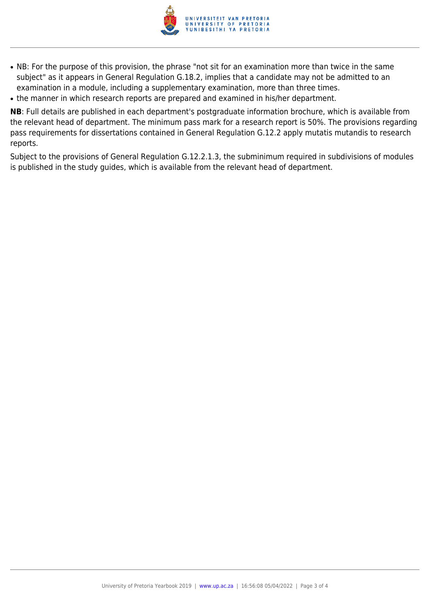

- NB: For the purpose of this provision, the phrase "not sit for an examination more than twice in the same subject" as it appears in General Regulation G.18.2, implies that a candidate may not be admitted to an examination in a module, including a supplementary examination, more than three times.
- the manner in which research reports are prepared and examined in his/her department.

**NB**: Full details are published in each department's postgraduate information brochure, which is available from the relevant head of department. The minimum pass mark for a research report is 50%. The provisions regarding pass requirements for dissertations contained in General Regulation G.12.2 apply mutatis mutandis to research reports.

Subject to the provisions of General Regulation G.12.2.1.3, the subminimum required in subdivisions of modules is published in the study guides, which is available from the relevant head of department.